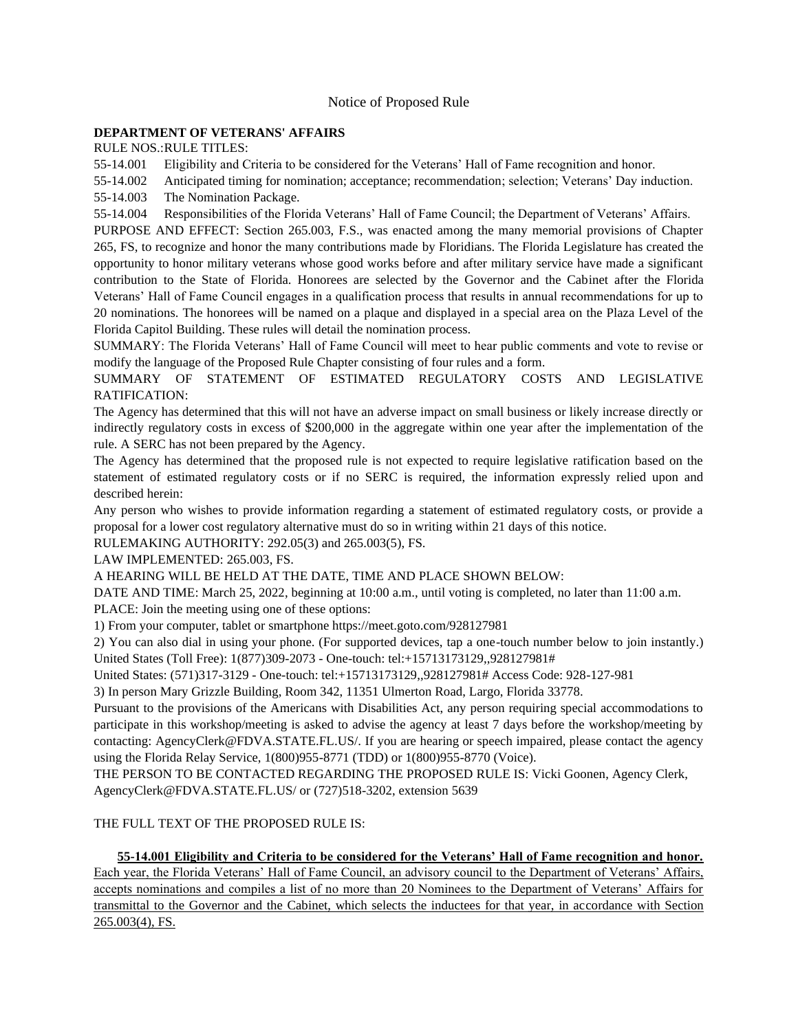## Notice of Proposed Rule

#### **[DEPARTMENT OF VETERANS' AFFAIRS](https://www.flrules.org/gateway/department.asp?id=55)**

RULE NOS.:RULE TITLES:

[55-14.001](https://www.flrules.org/gateway/ruleNo.asp?id=55-14.001) Eligibility and Criteria to be considered for the Veterans' Hall of Fame recognition and honor.

[55-14.002](https://www.flrules.org/gateway/ruleNo.asp?id=55-14.002) Anticipated timing for nomination; acceptance; recommendation; selection; Veterans' Day induction.

[55-14.003](https://www.flrules.org/gateway/ruleNo.asp?id=55-14.003) The Nomination Package.

[55-14.004](https://www.flrules.org/gateway/ruleNo.asp?id=55-14.004) Responsibilities of the Florida Veterans' Hall of Fame Council; the Department of Veterans' Affairs.

PURPOSE AND EFFECT: Section 265.003, F.S., was enacted among the many memorial provisions of Chapter 265, FS, to recognize and honor the many contributions made by Floridians. The Florida Legislature has created the opportunity to honor military veterans whose good works before and after military service have made a significant contribution to the State of Florida. Honorees are selected by the Governor and the Cabinet after the Florida Veterans' Hall of Fame Council engages in a qualification process that results in annual recommendations for up to 20 nominations. The honorees will be named on a plaque and displayed in a special area on the Plaza Level of the Florida Capitol Building. These rules will detail the nomination process.

SUMMARY: The Florida Veterans' Hall of Fame Council will meet to hear public comments and vote to revise or modify the language of the Proposed Rule Chapter consisting of four rules and a form.

SUMMARY OF STATEMENT OF ESTIMATED REGULATORY COSTS AND LEGISLATIVE RATIFICATION:

The Agency has determined that this will not have an adverse impact on small business or likely increase directly or indirectly regulatory costs in excess of \$200,000 in the aggregate within one year after the implementation of the rule. A SERC has not been prepared by the Agency.

The Agency has determined that the proposed rule is not expected to require legislative ratification based on the statement of estimated regulatory costs or if no SERC is required, the information expressly relied upon and described herein:

Any person who wishes to provide information regarding a statement of estimated regulatory costs, or provide a proposal for a lower cost regulatory alternative must do so in writing within 21 days of this notice.

RULEMAKING AUTHORITY: [292.05\(3\) and 265.003\(5\),](https://www.flrules.org/gateway/statute.asp?id=292.05(3)%20and%20265.003(5)) FS.

LAW IMPLEMENTED: [265.003,](https://www.flrules.org/gateway/statute.asp?id=265.003) FS.

A HEARING WILL BE HELD AT THE DATE, TIME AND PLACE SHOWN BELOW:

DATE AND TIME: March 25, 2022, beginning at 10:00 a.m., until voting is completed, no later than 11:00 a.m. PLACE: Join the meeting using one of these options:

1) From your computer, tablet or smartphone https://meet.goto.com/928127981

2) You can also dial in using your phone. (For supported devices, tap a one-touch number below to join instantly.) United States (Toll Free): 1(877)309-2073 - One-touch: tel:+15713173129,,928127981#

United States: (571)317-3129 - One-touch: tel:+15713173129,,928127981# Access Code: 928-127-981

3) In person Mary Grizzle Building, Room 342, 11351 Ulmerton Road, Largo, Florida 33778.

Pursuant to the provisions of the Americans with Disabilities Act, any person requiring special accommodations to participate in this workshop/meeting is asked to advise the agency at least 7 days before the workshop/meeting by contacting: AgencyClerk@FDVA.STATE.FL.US/. If you are hearing or speech impaired, please contact the agency using the Florida Relay Service, 1(800)955-8771 (TDD) or 1(800)955-8770 (Voice).

THE PERSON TO BE CONTACTED REGARDING THE PROPOSED RULE IS: Vicki Goonen, Agency Clerk, AgencyClerk@FDVA.STATE.FL.US/ or (727)518-3202, extension 5639

## THE FULL TEXT OF THE PROPOSED RULE IS:

**55-14.001 Eligibility and Criteria to be considered for the Veterans' Hall of Fame recognition and honor.** Each year, the Florida Veterans' Hall of Fame Council, an advisory council to the Department of Veterans' Affairs, accepts nominations and compiles a list of no more than 20 Nominees to the Department of Veterans' Affairs for transmittal to the Governor and the Cabinet, which selects the inductees for that year, in accordance with Section 265.003(4), FS.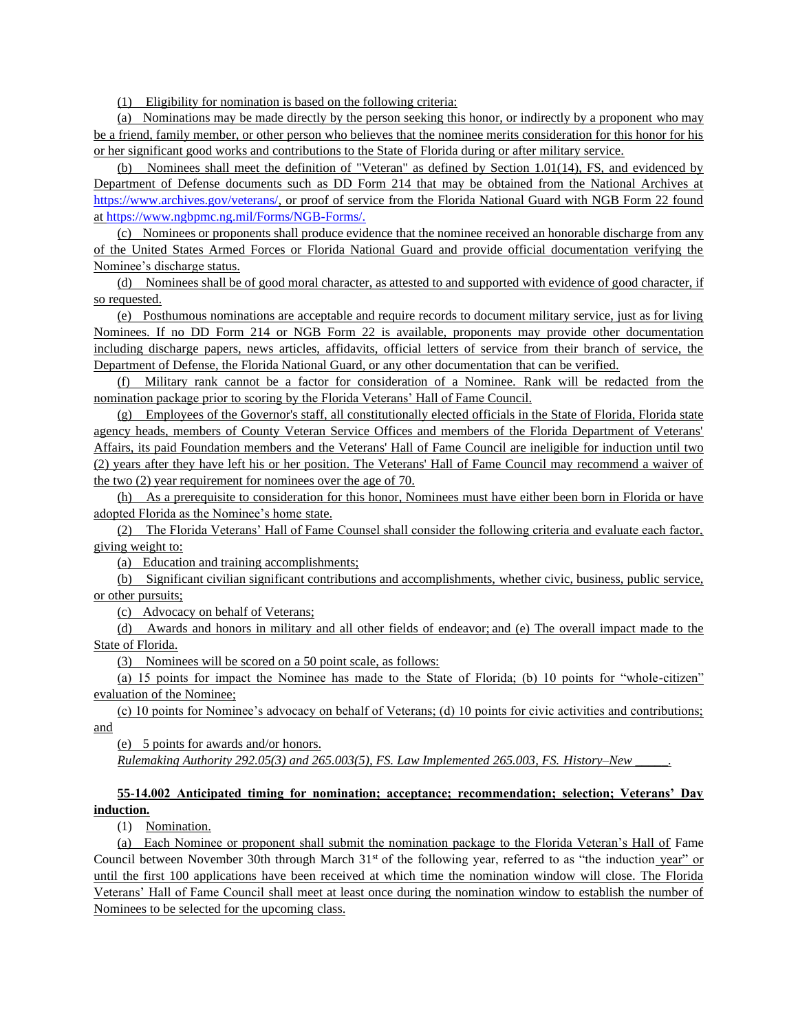(1) Eligibility for nomination is based on the following criteria:

(a) Nominations may be made directly by the person seeking this honor, or indirectly by a proponent who may be a friend, family member, or other person who believes that the nominee merits consideration for this honor for his or her significant good works and contributions to the State of Florida during or after military service.

(b) Nominees shall meet the definition of "Veteran" as defined by Section 1.01(14), FS, and evidenced by Department of Defense documents such as DD Form 214 that may be obtained from the National Archives a[t](https://www.archives.gov/veterans/) [https://www.archives.gov/veterans/,](https://www.archives.gov/veterans/) or proof of service from the Florida National Guard with NGB Form 22 found a[t https://www.ngbpmc.ng.mil/Forms/NGB-Forms/.](https://www.ngbpmc.ng.mil/Forms/NGB-Forms/)

(c) Nominees or proponents shall produce evidence that the nominee received an honorable discharge from any of the United States Armed Forces or Florida National Guard and provide official documentation verifying the Nominee's discharge status.

(d) Nominees shall be of good moral character, as attested to and supported with evidence of good character, if so requested.

(e) Posthumous nominations are acceptable and require records to document military service, just as for living Nominees. If no DD Form 214 or NGB Form 22 is available, proponents may provide other documentation including discharge papers, news articles, affidavits, official letters of service from their branch of service, the Department of Defense, the Florida National Guard, or any other documentation that can be verified.

(f) Military rank cannot be a factor for consideration of a Nominee. Rank will be redacted from the nomination package prior to scoring by the Florida Veterans' Hall of Fame Council.

(g) Employees of the Governor's staff, all constitutionally elected officials in the State of Florida, Florida state agency heads, members of County Veteran Service Offices and members of the Florida Department of Veterans' Affairs, its paid Foundation members and the Veterans' Hall of Fame Council are ineligible for induction until two (2) years after they have left his or her position. The Veterans' Hall of Fame Council may recommend a waiver of the two (2) year requirement for nominees over the age of 70.

(h) As a prerequisite to consideration for this honor, Nominees must have either been born in Florida or have adopted Florida as the Nominee's home state.

(2) The Florida Veterans' Hall of Fame Counsel shall consider the following criteria and evaluate each factor, giving weight to:

(a) Education and training accomplishments;

(b) Significant civilian significant contributions and accomplishments, whether civic, business, public service, or other pursuits;

(c) Advocacy on behalf of Veterans;

(d) Awards and honors in military and all other fields of endeavor; and (e) The overall impact made to the State of Florida.

(3) Nominees will be scored on a 50 point scale, as follows:

(a) 15 points for impact the Nominee has made to the State of Florida; (b) 10 points for "whole-citizen" evaluation of the Nominee;

(c) 10 points for Nominee's advocacy on behalf of Veterans; (d) 10 points for civic activities and contributions; and

(e) 5 points for awards and/or honors.

*Rulemaking Authority 292.05(3) and 265.003(5), FS. Law Implemented 265.003, FS. History–New \_\_\_\_\_.*

## **55-14.002 Anticipated timing for nomination; acceptance; recommendation; selection; Veterans' Day induction.**

(1) Nomination.

(a) Each Nominee or proponent shall submit the nomination package to the Florida Veteran's Hall of Fame Council between November 30th through March 31<sup>st</sup> of the following year, referred to as "the induction year" or until the first 100 applications have been received at which time the nomination window will close. The Florida Veterans' Hall of Fame Council shall meet at least once during the nomination window to establish the number of Nominees to be selected for the upcoming class.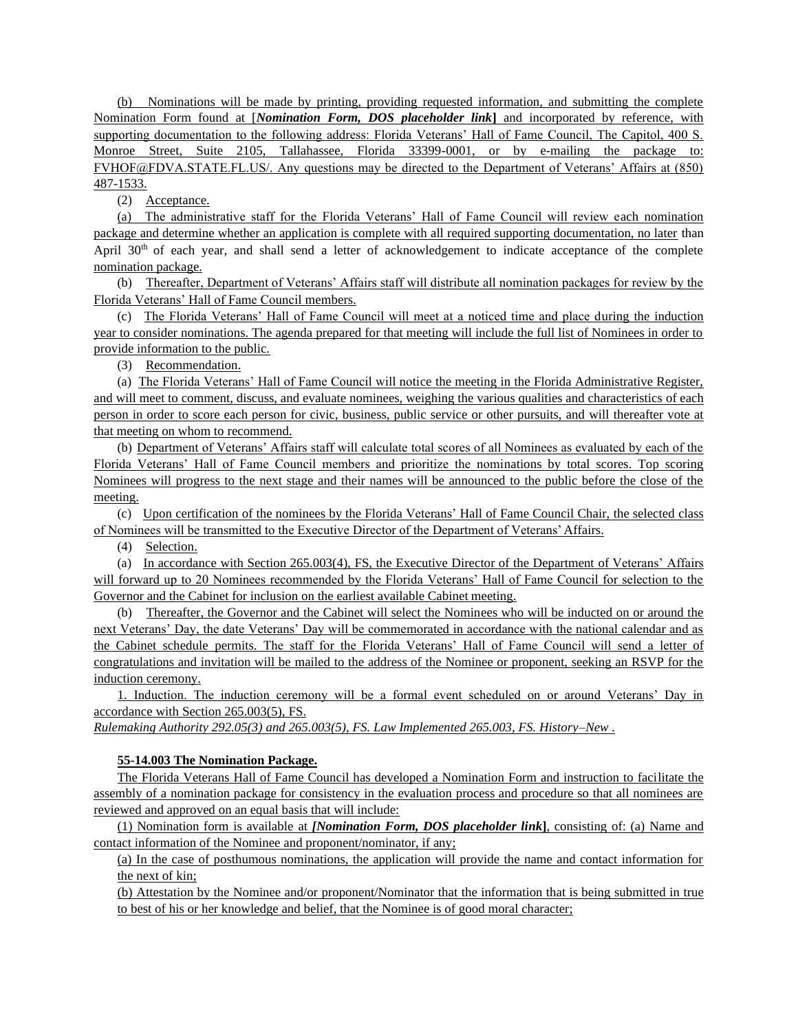(b) Nominations will be made by printing, providing requested information, and submitting the complete Nomination Form found at [*Nomination Form, DOS placeholder link***]** and incorporated by reference, with supporting documentation to the following address: Florida Veterans' Hall of Fame Council, The Capitol, 400 S. Monroe Street, Suite 2105, Tallahassee, Florida 33399-0001, or by e-mailing the package to: FVHOF@FDVA.STATE.FL.US/. Any questions may be directed to the Department of Veterans' Affairs at (850) 487-1533.

(2) Acceptance.

(a) The administrative staff for the Florida Veterans' Hall of Fame Council will review each nomination package and determine whether an application is complete with all required supporting documentation, no later than April  $30<sup>th</sup>$  of each year, and shall send a letter of acknowledgement to indicate acceptance of the complete nomination package.

(b) Thereafter, Department of Veterans' Affairs staff will distribute all nomination packages for review by the Florida Veterans' Hall of Fame Council members.

(c) The Florida Veterans' Hall of Fame Council will meet at a noticed time and place during the induction year to consider nominations. The agenda prepared for that meeting will include the full list of Nominees in order to provide information to the public.

(3) Recommendation.

(a) The Florida Veterans' Hall of Fame Council will notice the meeting in the Florida Administrative Register, and will meet to comment, discuss, and evaluate nominees, weighing the various qualities and characteristics of each person in order to score each person for civic, business, public service or other pursuits, and will thereafter vote at that meeting on whom to recommend.

(b) Department of Veterans' Affairs staff will calculate total scores of all Nominees as evaluated by each of the Florida Veterans' Hall of Fame Council members and prioritize the nominations by total scores. Top scoring Nominees will progress to the next stage and their names will be announced to the public before the close of the meeting.

(c) Upon certification of the nominees by the Florida Veterans' Hall of Fame Council Chair, the selected class of Nominees will be transmitted to the Executive Director of the Department of Veterans' Affairs.

(4) Selection.

(a) In accordance with Section 265.003(4), FS, the Executive Director of the Department of Veterans' Affairs will forward up to 20 Nominees recommended by the Florida Veterans' Hall of Fame Council for selection to the Governor and the Cabinet for inclusion on the earliest available Cabinet meeting.

(b) Thereafter, the Governor and the Cabinet will select the Nominees who will be inducted on or around the next Veterans' Day, the date Veterans' Day will be commemorated in accordance with the national calendar and as the Cabinet schedule permits. The staff for the Florida Veterans' Hall of Fame Council will send a letter of congratulations and invitation will be mailed to the address of the Nominee or proponent, seeking an RSVP for the induction ceremony.

1. Induction. The induction ceremony will be a formal event scheduled on or around Veterans' Day in accordance with Section 265.003(5), FS.

*Rulemaking Authority 292.05(3) and 265.003(5), FS. Law Implemented 265.003, FS. History–New .*

## **55-14.003 The Nomination Package.**

The Florida Veterans Hall of Fame Council has developed a Nomination Form and instruction to facilitate the assembly of a nomination package for consistency in the evaluation process and procedure so that all nominees are reviewed and approved on an equal basis that will include:

(1) Nomination form is available at *[Nomination Form, DOS placeholder link***]**, consisting of: (a) Name and contact information of the Nominee and proponent/nominator, if any;

(a) In the case of posthumous nominations, the application will provide the name and contact information for the next of kin;

(b) Attestation by the Nominee and/or proponent/Nominator that the information that is being submitted in true to best of his or her knowledge and belief, that the Nominee is of good moral character;